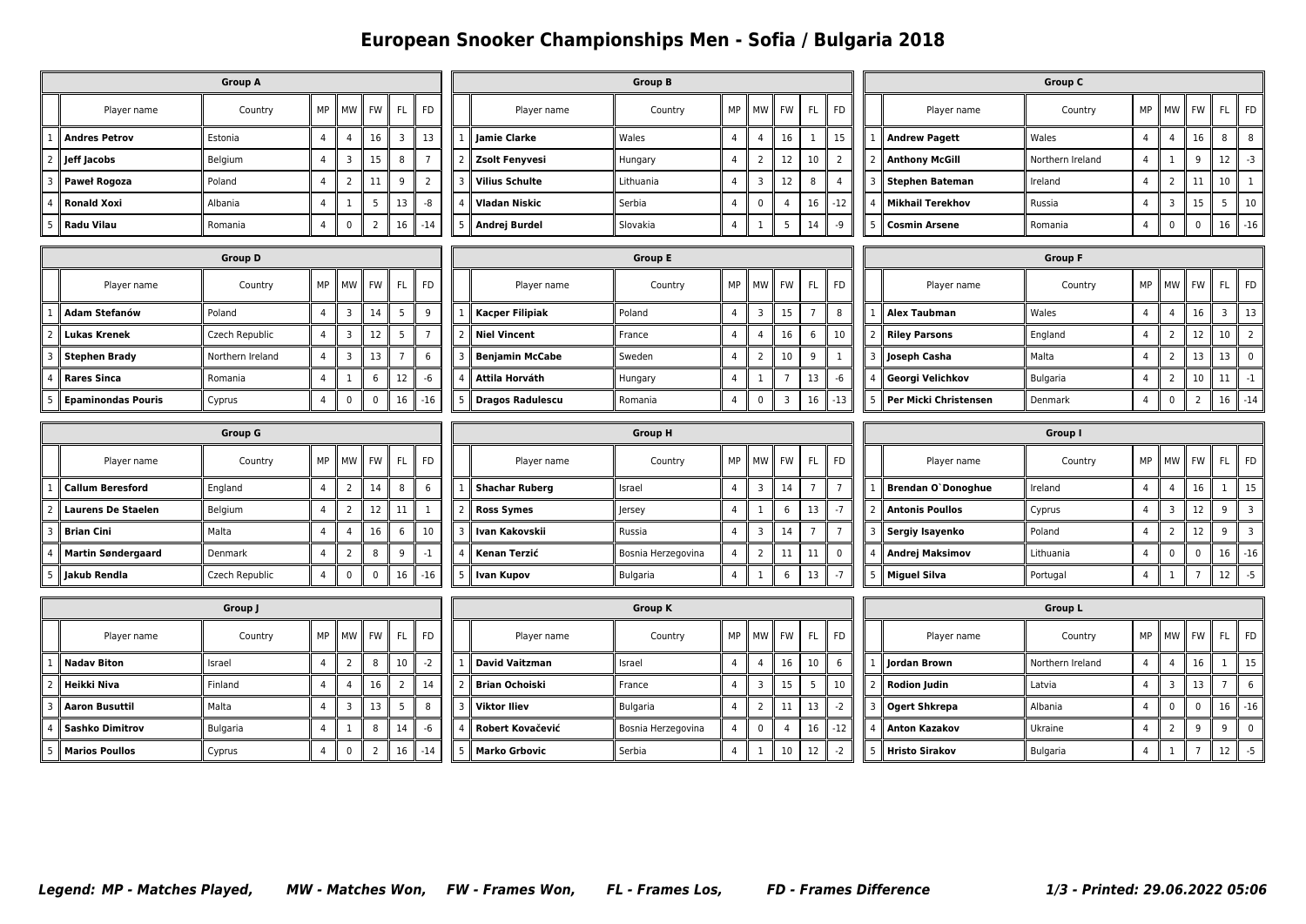## **European Snooker Championships Men - Sofia / Bulgaria 2018**

| <b>Group A</b>                                                                               |                           |                  |                |                 |             |                         |                | <b>Group B</b> |                         |                    |                |                |                |                |                |                      | <b>Group C</b>            |                  |                |                         |                |                 |                |  |  |
|----------------------------------------------------------------------------------------------|---------------------------|------------------|----------------|-----------------|-------------|-------------------------|----------------|----------------|-------------------------|--------------------|----------------|----------------|----------------|----------------|----------------|----------------------|---------------------------|------------------|----------------|-------------------------|----------------|-----------------|----------------|--|--|
|                                                                                              | Player name               | Country          | MP             | <b>MW</b>       | <b>FW</b>   | FL                      | <b>FD</b>      |                | Player name             | Country            | MP             | <b>MW</b>      | <b>FW</b>      | FL.            | <b>FD</b>      |                      | Player name               | Country          | MP             | <b>MW</b>               | <b>FW</b>      | FL.             | <b>FD</b>      |  |  |
|                                                                                              | <b>Andres Petrov</b>      | Estonia          | $\overline{4}$ | $\overline{4}$  | 16          | $\overline{\mathbf{3}}$ | 13             |                | <b>Jamie Clarke</b>     | Wales              | $\overline{4}$ | $\overline{4}$ | 16             | $\mathbf{1}$   | 15             |                      | <b>Andrew Pagett</b>      | Wales            | $\overline{4}$ | $\overline{4}$          | 16             | 8               | 8              |  |  |
|                                                                                              | Jeff Jacobs               | Belgium          | $\overline{4}$ | $\overline{3}$  | 15          | 8                       | $\overline{7}$ |                | <b>Zsolt Fenyvesi</b>   | Hungary            | $\overline{4}$ | $\overline{2}$ | 12             | 10             | $\overline{2}$ |                      | <b>Anthony McGill</b>     | Northern Ireland | $\overline{4}$ | $\mathbf{1}$            | 9              | 12              | $-3$           |  |  |
|                                                                                              | Paweł Rogoza              | Poland           | $\overline{4}$ | $\overline{2}$  | 11          | 9                       | $\overline{2}$ |                | <b>Vilius Schulte</b>   | Lithuania          | $\overline{4}$ | 3              | 12             | 8              | $\overline{4}$ | 3                    | <b>Stephen Bateman</b>    | Ireland          | $\overline{4}$ | $\overline{2}$          | 11             | 10              | $\mathbf{1}$   |  |  |
|                                                                                              | <b>Ronald Xoxi</b>        | Albania          | $\overline{4}$ | $\mathbf{1}$    | 5           | 13                      | -8             |                | Vladan Niskic           | Serbia             | $\overline{4}$ | $\pmb{0}$      | $\overline{4}$ | 16             | $-12$          |                      | <b>Mikhail Terekhov</b>   | Russia           | $\overline{a}$ | $\overline{\mathbf{3}}$ | 15             | 5               | $10\,$         |  |  |
| $\pmb{0}$<br>$\overline{2}$<br>16<br><b>Radu Vilau</b><br>$\overline{4}$<br>$-14$<br>Romania |                           |                  |                |                 |             |                         | 5              | Andrej Burdel  | Slovakia                | $\overline{4}$     | $\mathbf{1}$   | 5              | 14             | -9             | 5              | <b>Cosmin Arsene</b> | Romania                   | $\overline{4}$   | $\mathbf 0$    | $\mathbf 0$             | 16             | $-16$           |                |  |  |
|                                                                                              |                           | <b>Group D</b>   |                |                 |             |                         |                |                |                         | <b>Group E</b>     |                |                |                |                |                |                      |                           | <b>Group F</b>   |                |                         |                |                 |                |  |  |
|                                                                                              | Player name               | Country          | MP             | <b>MW</b>       | FW          | <b>FL</b>               | <b>FD</b>      |                | Player name             | Country            | MP             | <b>MW</b>      | FW             | <b>FL</b>      | FD             |                      | Player name               | Country          | MP             | I MW                    | <b>FW</b>      | FL.             | FD             |  |  |
|                                                                                              | Adam Stefanów             | Poland           | 4              | $\overline{3}$  | 14          | 5                       | 9              |                | <b>Kacper Filipiak</b>  | Poland             | $\overline{4}$ | 3              | 15             | $\overline{7}$ | 8              |                      | Alex Taubman              | Wales            | $\overline{4}$ | $\overline{4}$          | 16             | $\overline{3}$  | 13             |  |  |
|                                                                                              | <b>Lukas Krenek</b>       | Czech Republic   | $\overline{4}$ | $\overline{3}$  | 12          | 5                       | $\overline{7}$ |                | <b>Niel Vincent</b>     | France             | $\overline{4}$ | $\overline{a}$ | 16             | 6              | 10             |                      | <b>Riley Parsons</b>      | England          | $\overline{a}$ | $\overline{2}$          | 12             | 10 <sup>°</sup> | $\overline{2}$ |  |  |
|                                                                                              | <b>Stephen Brady</b>      | Northern Ireland | 4              | $\overline{3}$  | 13          | $\overline{7}$          | 6              |                | <b>Benjamin McCabe</b>  | Sweden             | $\overline{4}$ | $\overline{2}$ | 10             | 9              | 1              |                      | Joseph Casha              | Malta            | $\overline{4}$ | $\overline{2}$          | 13             | 13              | $\pmb{0}$      |  |  |
|                                                                                              | <b>Rares Sinca</b>        | Romania          | $\overline{4}$ | 1               | 6           | 12                      | -6             |                | Attila Horváth          | Hungary            | 4              | 1              | $\overline{7}$ | 13             | -6             |                      | Georgi Velichkov          | Bulgaria         | $\overline{4}$ | $\overline{2}$          | 10             | 11              | $-1$           |  |  |
|                                                                                              | <b>Epaminondas Pouris</b> | Cyprus           | $\overline{4}$ | $\mathbf 0$     | $\mathbf 0$ | 16                      | $-16$          | 5              | <b>Dragos Radulescu</b> | Romania            | $\overline{4}$ | $\mathbf 0$    | $\overline{3}$ | 16             | $-13$          | 5                    | Per Micki Christensen     | Denmark          | $\overline{4}$ | $\mathbf 0$             | $\overline{2}$ | 16              | $-14$          |  |  |
| <b>Group G</b>                                                                               |                           |                  |                |                 |             |                         |                |                | <b>Group H</b>          |                    |                |                |                |                |                |                      | Group I                   |                  |                |                         |                |                 |                |  |  |
|                                                                                              |                           |                  |                |                 |             |                         |                |                |                         |                    |                |                |                |                |                |                      |                           |                  |                |                         |                |                 |                |  |  |
|                                                                                              | Player name               | Country          | MP             | MW              | FW          | <b>FL</b>               | <b>FD</b>      |                | Player name             | Country            | MP             | MW             | <b>FW</b>      | FL.            | <b>FD</b>      |                      | Player name               | Country          | MP             | MW                      | FW             | FL.             | <b>FD</b>      |  |  |
|                                                                                              | <b>Callum Beresford</b>   | England          | $\overline{4}$ | $\overline{2}$  | 14          | 8                       | 6              |                | <b>Shachar Ruberg</b>   | Israel             | $\overline{4}$ | 3              | 14             | $\overline{7}$ | $\overline{7}$ |                      | <b>Brendan O'Donoghue</b> | Ireland          | $\overline{4}$ | $\overline{4}$          | 16             | $\mathbf{1}$    | 15             |  |  |
|                                                                                              | <b>Laurens De Staelen</b> | Belgium          | $\overline{4}$ | $\overline{2}$  | 12          | 11                      | -1             |                | <b>Ross Symes</b>       | Jersey             | 4              | 1              | 6              | 13             | $-7$           | 2                    | <b>Antonis Poullos</b>    | Cyprus           | $\overline{4}$ | $\overline{3}$          | 12             | 9               | 3              |  |  |
|                                                                                              | <b>Brian Cini</b>         | Malta            | $\overline{4}$ | $\overline{4}$  | 16          | 6                       | 10             | з              | Ivan Kakovskii          | Russia             | $\overline{4}$ | $\overline{3}$ | 14             | $\overline{7}$ | $\overline{7}$ |                      | Sergiy Isayenko           | Poland           | $\overline{a}$ | $\overline{2}$          | 12             | 9               | $\overline{3}$ |  |  |
|                                                                                              | <b>Martin Søndergaard</b> | Denmark          | $\overline{4}$ | $\overline{2}$  | 8           | 9                       | $-1$           |                | Kenan Terzić            | Bosnia Herzegovina | $\overline{4}$ | $\overline{2}$ | 11             | 11             | $\pmb{0}$      |                      | <b>Andrej Maksimov</b>    | Lithuania        | $\overline{a}$ | $\mathbf 0$             | $\mathbf 0$    | 16              | $\textbf{-16}$ |  |  |
|                                                                                              | Jakub Rendla              | Czech Republic   | 4              | $\mathbf 0$     | 0           | 16                      | $-16$          | 5              | <b>Ivan Kupov</b>       | Bulgaria           | $\overline{4}$ | 1              | 6              | 13             | $-7$           | 5                    | <b>Miguel Silva</b>       | Portugal         | $\overline{4}$ | $\mathbf{1}$            | $\overline{7}$ | 12              | $-5$           |  |  |
|                                                                                              |                           | Group J          |                |                 |             |                         |                |                |                         | <b>Group K</b>     |                |                |                |                |                |                      |                           | <b>Group L</b>   |                |                         |                |                 |                |  |  |
|                                                                                              | Player name               | Country          | MP             | MW <sup>I</sup> | FW          | <b>FL</b>               | <b>FD</b>      |                | Player name             | Country            | MP             | MW             | FW             | <b>FL</b>      | <b>FD</b>      |                      | Player name               | Country          | MP             | MW                      | FW             | FL.             | <b>FD</b>      |  |  |
|                                                                                              | <b>Nadav Biton</b>        | Israel           | $\overline{4}$ | $\overline{2}$  | 8           | 10                      | $-2$           |                | <b>David Vaitzman</b>   | Israel             | $\overline{4}$ | 4              | 16             | 10             | 6              |                      | Jordan Brown              | Northern Ireland | $\overline{4}$ | $\overline{4}$          | 16             | $\mathbf{1}$    | 15             |  |  |
|                                                                                              | Heikki Niva               | Finland          | $\overline{4}$ | $\overline{4}$  | 16          | $\overline{2}$          | 14             |                | <b>Brian Ochoiski</b>   | France             | $\overline{4}$ | 3              | 15             | 5              | 10             |                      | <b>Rodion Judin</b>       | Latvia           | $\overline{a}$ | $\overline{\mathbf{3}}$ | 13             | $\overline{7}$  | 6              |  |  |
|                                                                                              | <b>Aaron Busuttil</b>     | Malta            | 4              | $\overline{3}$  | 13          | 5                       | 8              | 3              | <b>Viktor Iliev</b>     | Bulgaria           | 4              | $\overline{2}$ | 11             | 13             | $-2$           | 3                    | <b>Ogert Shkrepa</b>      | Albania          | $\overline{4}$ | $\pmb{0}$               | $\mathbf 0$    | 16              | $-16$          |  |  |
|                                                                                              | Sashko Dimitrov           | <b>Bulgaria</b>  | $\overline{4}$ | 1               | 8           | 14                      | -6             |                | Robert Kovačević        | Bosnia Herzegovina | $\overline{4}$ | $\mathbf 0$    | $\overline{4}$ | 16             | $-12$          |                      | Anton Kazakov             | Ukraine          | $\overline{4}$ | $\overline{2}$          | 9              | 9               | $\mathbf 0$    |  |  |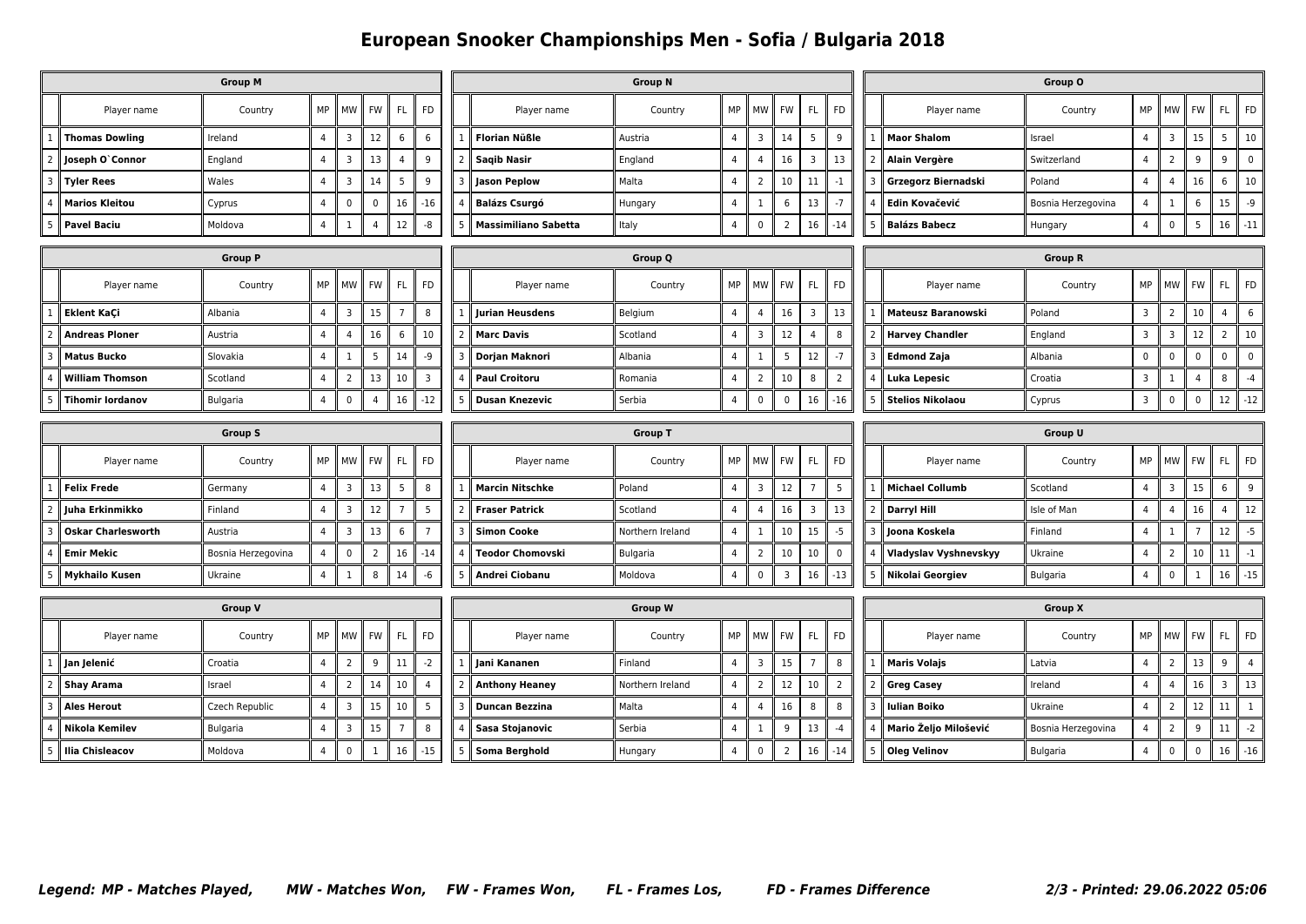## **European Snooker Championships Men - Sofia / Bulgaria 2018**

|                |                           | <b>Group M</b>     | <b>Group N</b> |                         |                |                |                |   |                             |                  |                | Group O        |                |                 |                |                |                              |                    |                |                |                |                         |                |
|----------------|---------------------------|--------------------|----------------|-------------------------|----------------|----------------|----------------|---|-----------------------------|------------------|----------------|----------------|----------------|-----------------|----------------|----------------|------------------------------|--------------------|----------------|----------------|----------------|-------------------------|----------------|
|                | Player name               | Country            | MP             | <b>MW</b>               | FW             | <b>FL</b>      | <b>FD</b>      |   | Player name                 | Country          | MP             | MW             | <b>FW</b>      | FL.             | <b>FD</b>      |                | Player name                  | Country            | MP             | <b>MW</b>      | <b>FW</b>      | FL.                     | <b>FD</b>      |
|                | <b>Thomas Dowling</b>     | Ireland            | $\overline{4}$ | $\overline{3}$          | 12             | 6              | 6              |   | <b>Florian Nüßle</b>        | Austria          | $\overline{4}$ | 3              | 14             | $5\overline{)}$ | 9              |                | <b>Maor Shalom</b>           | Israel             | $\overline{4}$ | $\overline{3}$ | 15             | 5                       | $10\,$         |
|                | Joseph O'Connor           | England            | $\overline{4}$ | 3                       | 13             | $\overline{4}$ | 9              |   | <b>Saqib Nasir</b>          | England          | $\overline{4}$ | $\overline{4}$ | 16             | 3               | 13             |                | <b>Alain Vergère</b>         | Switzerland        | $\overline{4}$ | $\overline{2}$ | 9              | 9                       | $\pmb{0}$      |
|                | <b>Tyler Rees</b>         | Wales              | $\overline{4}$ | $\overline{3}$          | 14             | 5              | 9              |   | <b>Jason Peplow</b>         | Malta            | $\overline{4}$ | $\overline{2}$ | 10             | 11              | $-1$           |                | Grzegorz Biernadski          | Poland             | $\overline{4}$ | $\overline{4}$ | 16             | 6                       | 10             |
|                | <b>Marios Kleitou</b>     | Cyprus             | $\overline{4}$ | $\pmb{0}$               | $\pmb{0}$      | 16             | $-16$          |   | <b>Balázs Csurgó</b>        | Hungary          | $\overline{4}$ | $\mathbf{1}$   | 6              | 13              | $-7$           |                | Edin Kovačević               | Bosnia Herzegovina | $\overline{4}$ | $\mathbf{1}$   | 6              | 15                      | $-9$           |
|                | <b>Pavel Baciu</b>        | Moldova            | $\overline{4}$ | $\mathbf{1}$            | $\overline{4}$ | 12             | -8             | 5 | <b>Massimiliano Sabetta</b> | Italy            | $\overline{4}$ | $\mathbf 0$    | $\overline{2}$ | 16              | $-14$          | 5 <sup>1</sup> | <b>Balázs Babecz</b>         | Hungary            | $\overline{4}$ | $\mathbf 0$    | 5              | 16                      | $-11$          |
|                |                           | <b>Group P</b>     |                |                         | <b>Group Q</b> |                |                |   |                             |                  |                |                | <b>Group R</b> |                 |                |                |                              |                    |                |                |                |                         |                |
|                | Player name               | Country            | MP             | <b>MW</b>               | FW             | <b>FL</b>      | <b>FD</b>      |   | Player name                 | Country          | MP             | MW             | FW             | FL.             | FD             |                | Player name                  | Country            | MP             | MW             | FW             | FL.                     | FD             |
|                | Eklent KaÇi               | Albania            | $\overline{4}$ | $\overline{3}$          | 15             | $\overline{7}$ | 8              |   | Jurian Heusdens             | Belgium          | $\overline{4}$ | 4              | 16             | 3               | 13             |                | <b>Mateusz Baranowski</b>    | Poland             | 3              | $\overline{2}$ | 10             | 4                       | 6              |
|                | <b>Andreas Ploner</b>     | Austria            | $\overline{4}$ | $\overline{4}$          | 16             | 6              | 10             |   | <b>Marc Davis</b>           | Scotland         | $\overline{4}$ | $\overline{3}$ | 12             | $\overline{4}$  | 8              |                | <b>Harvey Chandler</b>       | England            | $\overline{3}$ | $\overline{3}$ | 12             | $\overline{2}$          | 10             |
|                | <b>Matus Bucko</b>        | Slovakia           | $\overline{4}$ | $\mathbf{1}$            | 5              | 14             | -9             |   | Dorjan Maknori              | Albania          | $\overline{4}$ | $\mathbf{1}$   | 5              | 12              | $-7$           | 3              | <b>Edmond Zaja</b>           | Albania            | $\mathbf 0$    | $\pmb{0}$      | 0              | $\boldsymbol{0}$        | $\pmb{0}$      |
|                | <b>William Thomson</b>    | Scotland           | $\overline{4}$ | $\overline{2}$          | 13             | 10             | 3              |   | <b>Paul Croitoru</b>        | Romania          | $\overline{4}$ | $\overline{2}$ | 10             | 8               | 2              |                | Luka Lepesic                 | Croatia            | 3              | $\mathbf{1}$   | 4              | 8                       | $-4$           |
|                | <b>Tihomir lordanov</b>   | Bulgaria           | 4              | $\pmb{0}$               | $\overline{4}$ | 16             | $-12$          | 5 | <b>Dusan Knezevic</b>       | Serbia           | $\overline{4}$ | $\mathbf 0$    | $\mathbf 0$    | 16              | $-16$          |                | <b>Stelios Nikolaou</b>      | Cyprus             | $\overline{3}$ | $\mathbf 0$    | $\mathbf 0$    | 12                      | $-12$          |
| <b>Group S</b> |                           |                    |                |                         |                |                |                |   | <b>Group T</b>              |                  |                |                |                |                 |                |                | Group U                      |                    |                |                |                |                         |                |
|                |                           |                    |                |                         |                |                |                |   |                             |                  |                |                |                |                 |                |                |                              |                    |                |                |                |                         |                |
|                | Player name               | Country            | MP             | MW                      | FW             | FL             | <b>FD</b>      |   | Player name                 | Country          | MP             | MW             | <b>FW</b>      | FL.             | <b>FD</b>      |                | Player name                  | Country            | MP             | <b>MW</b>      | <b>FW</b>      | FL.                     | <b>FD</b>      |
|                | <b>Felix Frede</b>        | Germany            | $\overline{4}$ | $\overline{3}$          | 13             | 5              | 8              |   | <b>Marcin Nitschke</b>      | Poland           | $\overline{4}$ | 3              | 12             | $\overline{7}$  | 5              |                | <b>Michael Collumb</b>       | Scotland           | $\overline{4}$ | $\mathbf{3}$   | 15             | 6                       | 9              |
|                | Juha Erkinmikko           | Finland            | 4              | 3                       | 12             | $\overline{7}$ | 5              |   | <b>Fraser Patrick</b>       | Scotland         | 4              | 4              | 16             | 3               | 13             | 2              | Darryl Hill                  | Isle of Man        | 4              | $\overline{4}$ | 16             | 4                       | 12             |
|                | <b>Oskar Charlesworth</b> | Austria            | $\overline{4}$ | $\overline{3}$          | 13             | 6              | $\overline{7}$ | в | <b>Simon Cooke</b>          | Northern Ireland | $\overline{4}$ | $\mathbf{1}$   | 10             | 15              | $-5$           |                | Joona Koskela                | Finland            | $\overline{4}$ | $\mathbf{1}$   | $\overline{7}$ | 12                      | $-5$           |
|                | <b>Emir Mekic</b>         | Bosnia Herzegovina | $\overline{4}$ | $\pmb{0}$               | $\overline{2}$ | 16             | $-14$          |   | <b>Teodor Chomovski</b>     | Bulgaria         | $\overline{4}$ | $\overline{2}$ | 10             | 10              | $\mathbf 0$    |                | <b>Vladyslav Vyshnevskyy</b> | Ukraine            | $\overline{4}$ | $\overline{2}$ | 10             | 11                      | $-1$           |
|                | Mykhailo Kusen            | Ukraine            | $\overline{4}$ | 1                       | 8              | 14             | -6             |   | Andrei Ciobanu              | Moldova          | $\overline{4}$ | $\mathbf 0$    | $\overline{3}$ | 16              | $-13$          | 5              | Nikolai Georgiev             | Bulgaria           | $\overline{4}$ | $\pmb{0}$      | -1             | 16                      | $-15$          |
|                |                           | <b>Group V</b>     |                |                         |                |                |                |   |                             | <b>Group W</b>   |                |                |                |                 |                |                |                              | <b>Group X</b>     |                |                |                |                         |                |
|                | Player name               | Country            | MP             | MW                      | FW             | FL             | <b>FD</b>      |   | Player name                 | Country          | MP             | MW             | FW             | FL.             | <b>FD</b>      |                | Player name                  | Country            | MP             | MW             | FW             | FL.                     | <b>FD</b>      |
|                | Jan Jelenić               | Croatia            | $\overline{4}$ | $\overline{2}$          | 9              | 11             | $-2$           |   | Jani Kananen                | Finland          | $\overline{4}$ | 3              | 15             | $\overline{7}$  | 8              |                | <b>Maris Volajs</b>          | Latvia             | $\overline{4}$ | $\overline{2}$ | 13             | 9                       | $\overline{4}$ |
|                | <b>Shay Arama</b>         | Israel             | $\overline{4}$ | $\overline{2}$          | 14             | 10             | $\overline{4}$ |   | <b>Anthony Heaney</b>       | Northern Ireland | $\overline{4}$ | $\overline{2}$ | 12             | 10              | $\overline{2}$ |                | <b>Greg Casey</b>            | Ireland            | $\overline{4}$ | $\overline{4}$ | 16             | $\overline{\mathbf{3}}$ | 13             |
|                | Ales Herout               | Czech Republic     | 4              | $\overline{\mathbf{3}}$ | 15             | 10             | 5              |   | <b>Duncan Bezzina</b>       | Malta            | $\overline{4}$ | 4              | 16             | 8               | 8              | 3              | <b>Iulian Boiko</b>          | Ukraine            | 4              | $\overline{2}$ | 12             | 11                      | $\mathbf{1}$   |
|                | Nikola Kemilev            | Bulgaria           | $\overline{4}$ | 3                       | 15             | $\overline{7}$ | 8              |   | Sasa Stojanovic             | Serbia           | $\overline{4}$ | $\mathbf{1}$   | 9              | 13              | $-4$           |                | Mario Željo Milošević        | Bosnia Herzegovina | $\overline{4}$ | $\overline{2}$ | 9              | 11                      | $-2$           |